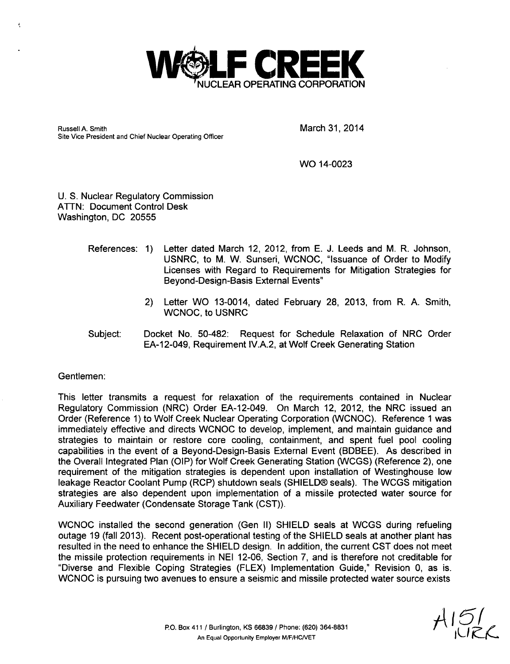

Russell A. Smith **March 31, 2014** Site Vice President and Chief Nuclear Operating Officer

WO 14-0023

U. S. Nuclear Regulatory Commission ATTN: Document Control Desk Washington, DC 20555

- References: 1) Letter dated March 12, 2012, from E. J. Leeds and M. R. Johnson, USNRC, to M. W. Sunseri, WCNOC, "Issuance of Order to Modify Licenses with Regard to Requirements for Mitigation Strategies for Beyond-Design-Basis External Events"
	- 2) Letter WO 13-0014, dated February 28, 2013, from R. A. Smith, WCNOC, to USNRC
- Subject: Docket No. 50-482: Request for Schedule Relaxation of NRC Order EA-12-049, Requirement IV.A.2, at Wolf Creek Generating Station

Gentlemen:

 $\epsilon$ 

This letter transmits a request for relaxation of the requirements contained in Nuclear Regulatory Commission (NRC) Order EA-12-049. On March 12, 2012, the NRC issued an Order (Reference 1) to Wolf Creek Nuclear Operating Corporation (WCNOC). Reference 1 was immediately effective and directs WCNOC to develop, implement, and maintain guidance and strategies to maintain or restore core cooling, containment, and spent fuel pool cooling capabilities in the event of a Beyond-Design-Basis External Event (BDBEE). As described in the Overall Integrated Plan (OIP) for Wolf Creek Generating Station (WCGS) (Reference 2), one requirement of the mitigation strategies is dependent upon installation of Westinghouse low leakage Reactor Coolant Pump (RCP) shutdown seals (SHIELD® seals). The WCGS mitigation strategies are also dependent upon implementation of a missile protected water source for Auxiliary Feedwater (Condensate Storage Tank (CST)).

WCNOC installed the second generation (Gen II) SHIELD seals at WCGS during refueling outage 19 (fall 2013). Recent post-operational testing of the SHIELD seals at another plant has resulted in the need to enhance the SHIELD design. In addition, the current CST does not meet the missile protection requirements in NEI 12-06, Section 7, and is therefore not creditable for "Diverse and Flexible Coping Strategies (FLEX) Implementation Guide," Revision 0, as is. WCNOC is pursuing two avenues to ensure a seismic and missile protected water source exists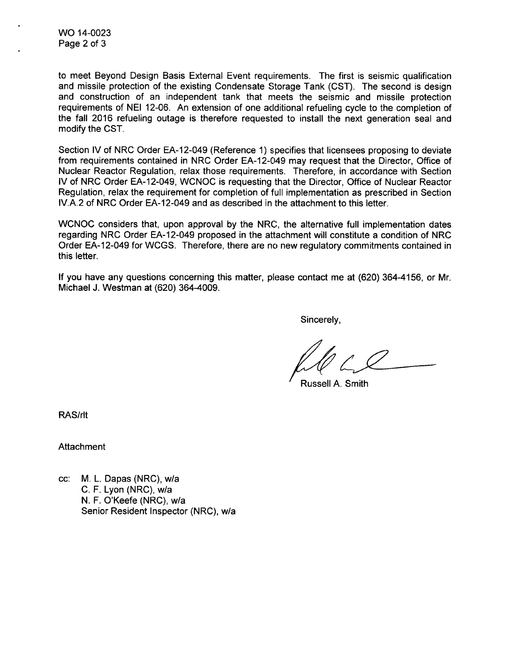WO 14-0023 Page 2 of 3

to meet Beyond Design Basis External Event requirements. The first is seismic qualification and missile protection of the existing Condensate Storage Tank (CST). The second is design and construction of an independent tank that meets the seismic and missile protection requirements of NEI 12-06. An extension of one additional refueling cycle to the completion of the fall 2016 refueling outage is therefore requested to install the next generation seal and modify the CST.

Section IV of NRC Order EA-12-049 (Reference 1) specifies that licensees proposing to deviate from requirements contained in NRC Order EA-12-049 may request that the Director, Office of Nuclear Reactor Regulation, relax those requirements. Therefore, in accordance with Section IV of NRC Order EA-12-049, WCNOC is requesting that the Director, Office of Nuclear Reactor Regulation, relax the requirement for completion of full implementation as prescribed in Section IV.A.2 of NRC Order EA-12-049 and as described in the attachment to this letter.

WCNOC considers that, upon approval by the NRC, the alternative full implementation dates regarding NRC Order EA-12-049 proposed in the attachment will constitute a condition of NRC Order EA-12-049 for WCGS. Therefore, there are no new regulatory commitments contained in this letter.

If you have any questions concerning this matter, please contact me at (620) 364-4156, or Mr. Michael J. Westman at (620) 364-4009.

Sincerely,

Russell **A.** Smith

RAS/rlt

**Attachment** 

cc: M. L. Dapas (NRC), w/a C. F. Lyon (NRC), w/a N. F. O'Keefe (NRC), w/a Senior Resident Inspector (NRC), w/a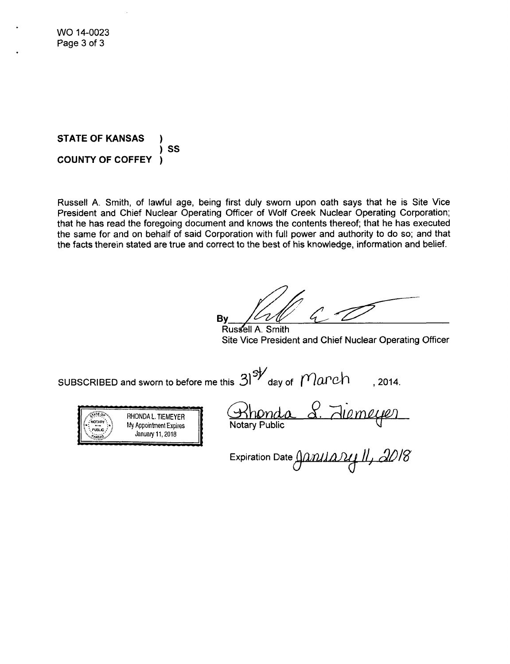**STATE** OF **KANSAS** ) SS ,<br>) **COUNTY** OF COFFEY

Russell A. Smith, of lawful age, being first duly sworn upon oath says that he is Site Vice President and Chief Nuclear Operating Officer of Wolf Creek Nuclear Operating Corporation; that he has read the foregoing document and knows the contents thereof; that he has executed the same for and on behalf of said Corporation with full power and authority to do so; and that the facts therein stated are true and correct to the best of his knowledge, information and belief.

By  $\mu$   $\mu$   $\mu$   $\mu$ 

Rus **el1 A.** Smith Site Vice President and Chief Nuclear Operating Officer

sUBSCRIBED and sworn to before me this  $31^{5}$ <sup>d</sup> day of  $~\gamma$ anch , 2014.



**ONDAL. TIEMEYER**<br>Appointment Expires<br>January 11, 2018<br>**January 11, 2018 Q4**

 $\epsilon$ xpiration Date  $\triangle$ *Q*  $\Omega$ *ill (a.l. 2018*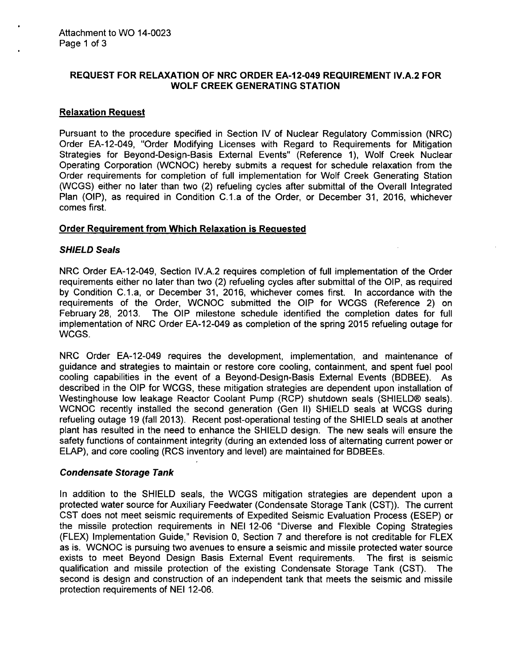# **REQUEST** FOR RELAXATION OF NRC ORDER EA-12-049 **REQUIREMENT** IV.A.2 FOR WOLF CREEK **GENERATING STATION**

### Relaxation Request

Pursuant to the procedure specified in Section IV of Nuclear Regulatory Commission (NRC) Order EA-12-049, "Order Modifying Licenses with Regard to Requirements for Mitigation Strategies for Beyond-Design-Basis External Events" (Reference 1), Wolf Creek Nuclear Operating Corporation (WCNOC) hereby submits a request for schedule relaxation from the Order requirements for completion of full implementation for Wolf Creek Generating Station (WCGS) either no later than two (2) refueling cycles after submittal of the Overall Integrated Plan (OIP), as required in Condition C.I.a of the Order, or December 31, 2016, whichever comes first.

#### Order Requirement from Which Relaxation is Requested

#### *SHIELD* Seals

NRC Order EA-12-049, Section IV.A.2 requires completion of full implementation of the Order requirements either no later than two (2) refueling cycles after submittal of the OIP, as required by Condition C.1.a, or December 31, 2016, whichever comes first. In accordance with the requirements of the Order, WCNOC submitted the OIP for WCGS (Reference 2) on February 28, 2013. The OIP milestone schedule identified the completion dates for full implementation of NRC Order EA-12-049 as completion of the spring 2015 refueling outage for WCGS.

NRC Order EA-12-049 requires the development, implementation, and maintenance of guidance and strategies to maintain or restore core cooling, containment, and spent fuel pool cooling capabilities in the event of a Beyond-Design-Basis External Events (BDBEE). As described in the OIP for WCGS, these mitigation strategies are dependent upon installation of Westinghouse low leakage Reactor Coolant Pump (RCP) shutdown seals (SHIELD® seals). WCNOC recently installed the second generation (Gen II) SHIELD seals at WCGS during refueling outage 19 (fall 2013). Recent post-operational testing of the SHIELD seals at another plant has resulted in the need to enhance the SHIELD design. The new seals will ensure the safety functions of containment integrity (during an extended loss of alternating current power or ELAP), and core cooling (RCS inventory and level) are maintained for BDBEEs.

#### *Condensate Storage Tank*

In addition to the SHIELD seals, the WCGS mitigation strategies are dependent upon a protected water source for Auxiliary Feedwater (Condensate Storage Tank (CST)). The current CST does not meet seismic requirements of Expedited Seismic Evaluation Process (ESEP) or the missile protection requirements in NEI 12-06 "Diverse and Flexible Coping Strategies (FLEX) Implementation Guide," Revision 0, Section 7 and therefore is not creditable for FLEX as is. WCNOC is pursuing two avenues to ensure a seismic and missile protected water source exists to meet Beyond Design Basis External Event requirements. The first is seismic qualification and missile protection of the existing Condensate Storage Tank (CST). The second is design and construction of an independent tank that meets the seismic and missile protection requirements of NEI 12-06.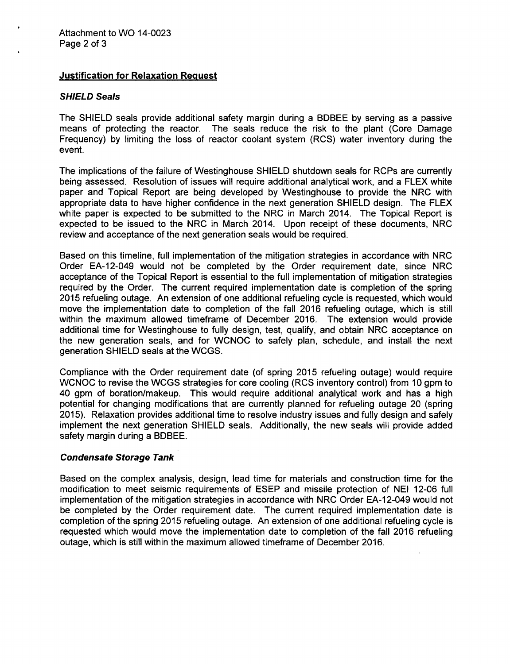## Justification for Relaxation Request

#### *SHIELD Seals*

The SHIELD seals provide additional safety margin during a BDBEE by serving as a passive means of protecting the reactor. The seals reduce the risk to the plant (Core Damage Frequency) by limiting the loss of reactor coolant system (RCS) water inventory during the event.

The implications of the failure of Westinghouse SHIELD shutdown seals for RCPs are currently being assessed. Resolution of issues will require additional analytical work, and a FLEX white paper and Topical Report are being developed by Westinghouse to provide the NRC with appropriate data to have higher confidence in the next generation SHIELD design. The FLEX white paper is expected to be submitted to the NRC in March 2014. The Topical Report is expected to be issued to the NRC in March 2014. Upon receipt of these documents, NRC review and acceptance of the next generation seals would be required.

Based on this timeline, full implementation of the mitigation strategies in accordance with NRC Order EA-12-049 would not be completed by the Order requirement date, since NRC acceptance of the Topical Report is essential to the full implementation of mitigation strategies required by the Order. The current required implementation date is completion of the spring 2015 refueling outage. An extension of one additional refueling cycle is requested, which would move the implementation date to completion of the fall 2016 refueling outage, which is still within the maximum allowed timeframe of December 2016. The extension would provide additional time for Westinghouse to fully design, test, qualify, and obtain NRC acceptance on the new generation seals, and for WCNOC to safely plan, schedule, and install the next generation SHIELD seals at the WCGS.

Compliance with the Order requirement date (of spring 2015 refueling outage) would require WCNOC to revise the WCGS strategies for core cooling (RCS inventory control) from 10 gpm to 40 gpm of boration/makeup. This would require additional analytical work and has a high potential for changing modifications that are currently planned for refueling outage 20 (spring 2015). Relaxation provides additional time to resolve industry issues and fully design and safely implement the next generation SHIELD seals. Additionally, the new seals will provide added safety margin during a BDBEE.

# *Condensate Storage Tank*

Based on the complex analysis, design, lead time for materials and construction time for the modification to meet seismic requirements of ESEP and missile protection of NEI 12-06 full implementation of the mitigation strategies in accordance with NRC Order EA-12-049 would not be completed by the Order requirement date. The current required implementation date is completion of the spring 2015 refueling outage. An extension of one additional refueling cycle is requested which would move the implementation date to completion of the fall 2016 refueling outage, which is still within the maximum allowed timeframe of December 2016.